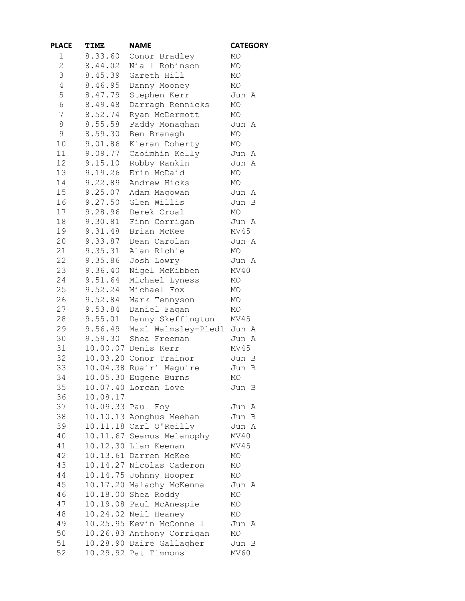| <b>PLACE</b>   | TIME     | <b>NAME</b>               | <b>CATEGORY</b> |
|----------------|----------|---------------------------|-----------------|
| 1              | 8.33.60  | Conor Bradley             | MO              |
| $\overline{2}$ | 8.44.02  | Niall Robinson            | MO              |
| 3              | 8.45.39  | Gareth Hill               | $\rm MO$        |
| 4              | 8.46.95  | Danny Mooney              | MO              |
| 5              | 8.47.79  | Stephen Kerr              | Jun A           |
| 6              | 8.49.48  | Darragh Rennicks          | MO              |
| 7              | 8.52.74  | Ryan McDermott            | МO              |
| 8              | 8.55.58  | Paddy Monaghan            | Jun A           |
| $\mathsf 9$    | 8.59.30  | Ben Branagh               | MO              |
| 10             | 9.01.86  |                           |                 |
|                | 9.09.77  | Kieran Doherty            | MO              |
| 11             |          | Caoimhín Kelly            | Jun A           |
| 12             | 9.15.10  | Robby Rankin              | Jun A           |
| 13             | 9.19.26  | Erin McDaid               | MO              |
| 14             | 9.22.89  | Andrew Hicks              | MO              |
| 15             | 9.25.07  | Adam Magowan              | Jun A           |
| 16             | 9.27.50  | Glen Willis               | Jun<br>B        |
| 17             | 9.28.96  | Derek Croal               | MO              |
| 18             | 9.30.81  | Finn Corrigan             | Jun A           |
| 19             | 9.31.48  | Brian McKee               | MV45            |
| 20             |          | 9.33.87 Dean Carolan      | Jun A           |
| 21             | 9.35.31  | Alan Richie               | MO              |
| 22             | 9.35.86  | Josh Lowry                | Jun A           |
| 23             | 9.36.40  | Nigel McKibben            | MV40            |
| 24             | 9.51.64  | Michael Lyness            | MO              |
| 25             | 9.52.24  | Michael Fox               | MO              |
| 26             | 9.52.84  | Mark Tennyson             | MO              |
| 27             | 9.53.84  | Daniel Fagan              | MO              |
| 28             | 9.55.01  | Danny Skeffington         | MV45            |
| 29             | 9.56.49  | Maxl Walmsley-Pledl       | Jun A           |
| 30             | 9.59.30  | Shea Freeman              | Jun A           |
| 31             |          | 10.00.07 Denis Kerr       | MV45            |
| 32             |          | 10.03.20 Conor Trainor    | Jun B           |
| 33             |          | 10.04.38 Ruairí Maguire   | Jun B           |
| 34             |          | 10.05.30 Eugene Burns     | MO              |
| 35             |          | 10.07.40 Lorcan Love      | Jun B           |
| 36             | 10.08.17 |                           |                 |
| 37             |          | 10.09.33 Paul Foy         | Jun A           |
| 38             |          |                           |                 |
|                |          | 10.10.13 Aonghus Meehan   | Jun B           |
| 39             |          | 10.11.18 Carl O'Reilly    | Jun A           |
| 40             |          | 10.11.67 Seamus Melanophy | MV40            |
| 41             |          | 10.12.30 Liam Keenan      | MV45            |
| 42             |          | 10.13.61 Darren McKee     | МO              |
| 43             |          | 10.14.27 Nicolas Caderon  | МO              |
| 44             |          | 10.14.75 Johnny Hooper    | МO              |
| 45             |          | 10.17.20 Malachy McKenna  | Jun A           |
| 46             |          | 10.18.00 Shea Roddy       | МO              |
| 47             |          | 10.19.08 Paul McAnespie   | MO              |
| 48             |          | 10.24.02 Neil Heaney      | МO              |
| 49             |          | 10.25.95 Kevin McConnell  | Jun A           |
| 50             |          | 10.26.83 Anthony Corrigan | MO              |
| 51             |          | 10.28.90 Daire Gallagher  | Jun B           |
| 52             |          | 10.29.92 Pat Timmons      | MV60            |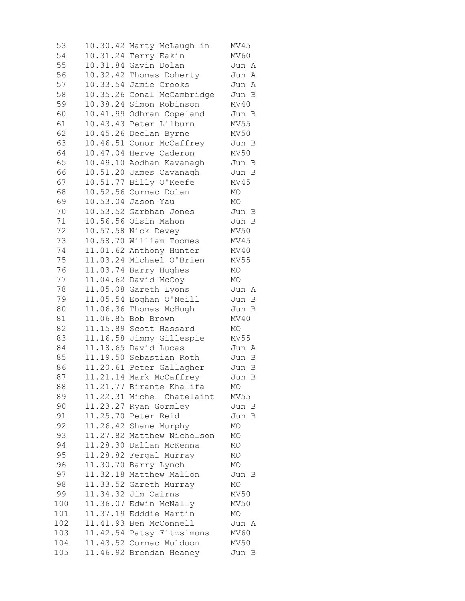10.30.42 Marty McLaughlin MV45 10.31.24 Terry Eakin MV60 10.31.84 Gavin Dolan Jun A 10.32.42 Thomas Doherty Jun A 10.33.54 Jamie Crooks Jun A 10.35.26 Conal McCambridge Jun B 10.38.24 Simon Robinson MV40 10.41.99 Odhran Copeland Jun B 10.43.43 Peter Lilburn MV55 10.45.26 Declan Byrne MV50 10.46.51 Conor McCaffrey Jun B 10.47.04 Herve Caderon MV50 10.49.10 Aodhan Kavanagh Jun B 10.51.20 James Cavanagh Jun B 10.51.77 Billy O'Keefe MV45 10.52.56 Cormac Dolan MO 10.53.04 Jason Yau MO 10.53.52 Garbhan Jones Jun B 10.56.56 Oisín Mahon Jun B 10.57.58 Nick Devey MV50 10.58.70 William Toomes MV45 11.01.62 Anthony Hunter MV40 11.03.24 Michael O'Brien MV55 11.03.74 Barry Hughes MO 11.04.62 David McCoy MO 11.05.08 Gareth Lyons Jun A 11.05.54 Eoghan O'Neill Jun B 11.06.36 Thomas McHugh Jun B 11.06.85 Bob Brown MV40 11.15.89 Scott Hassard MO 11.16.58 Jimmy Gillespie MV55 11.18.65 David Lucas Jun A 11.19.50 Sebastian Roth Jun B 11.20.61 Peter Gallagher Jun B 11.21.14 Mark McCaffrey Jun B 11.21.77 Birante Khalifa MO 11.22.31 Michel Chatelaint MV55 11.23.27 Ryan Gormley Jun B 11.25.70 Peter Reid Jun B 11.26.42 Shane Murphy MO 11.27.82 Matthew Nicholson MO 11.28.30 Dallan McKenna MO 11.28.82 Fergal Murray MO 11.30.70 Barry Lynch MO 97 11.32.18 Matthew Mallon Jun B 11.33.52 Gareth Murray MO 11.34.32 Jim Cairns MV50 11.36.07 Edwin McNally MV50 11.37.19 Edddie Martin MO 11.41.93 Ben McConnell Jun A 11.42.54 Patsy Fitzsimons MV60 11.43.52 Cormac Muldoon MV50 11.46.92 Brendan Heaney Jun B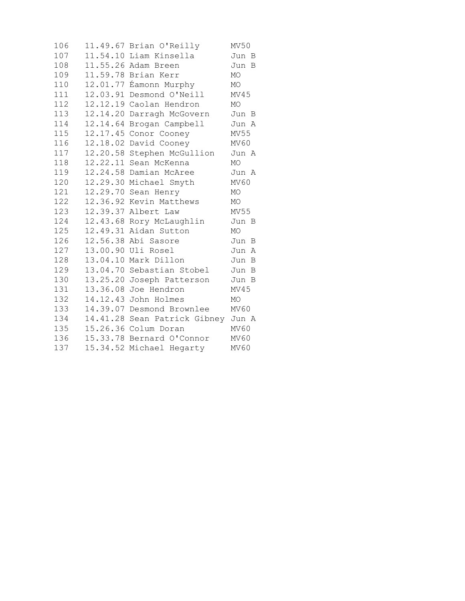| 106 |          | 11.49.67 Brian O'Reilly            | MV50      |
|-----|----------|------------------------------------|-----------|
| 107 |          | 11.54.10 Liam Kinsella             | Jun B     |
| 108 |          | 11.55.26 Adam Breen                | Jun B     |
| 109 |          | 11.59.78 Brian Kerr                | MO        |
| 110 | 12.01.77 | Éamonn Murphy                      | МO        |
| 111 |          | 12.03.91 Desmond O'Neill           | MV45      |
| 112 |          | 12.12.19 Caolan Hendron            | MO.       |
| 113 |          | 12.14.20 Darragh McGovern          | Jun B     |
| 114 |          | 12.14.64 Brogan Campbell           | Jun A     |
| 115 |          | 12.17.45 Conor Cooney              | MV55      |
| 116 | 12.18.02 | David Cooney                       | MV60      |
| 117 |          | 12.20.58 Stephen McGullion         | Jun A     |
| 118 |          | 12.22.11 Sean McKenna              | <b>MO</b> |
| 119 |          | 12.24.58 Damian McAree             | Jun A     |
| 120 |          | 12.29.30 Michael Smyth             | MV60      |
| 121 |          | 12.29.70 Sean Henry                | MO        |
| 122 |          | 12.36.92 Kevin Matthews            | MO        |
| 123 |          | 12.39.37 Albert Law                | MV55      |
| 124 |          | 12.43.68 Rory McLaughlin           | Jun B     |
| 125 |          | 12.49.31 Aidan Sutton              | MO        |
| 126 |          | 12.56.38 Abi Sasore                | Jun B     |
| 127 |          | 13.00.90 Uli Rosel                 | Jun A     |
| 128 |          | 13.04.10 Mark Dillon               | Jun B     |
| 129 |          | 13.04.70 Sebastian Stobel          | Jun<br>B  |
| 130 |          | 13.25.20 Joseph Patterson          | Jun B     |
| 131 |          | 13.36.08 Joe Hendron               | MV45      |
| 132 |          | 14.12.43 John Holmes               | MO        |
| 133 | 14.39.07 | Desmond Brownlee                   | MV 60     |
| 134 |          | 14.41.28 Sean Patrick Gibney Jun A |           |
| 135 |          | 15.26.36 Colum Doran               | MV60      |
| 136 |          | 15.33.78 Bernard O'Connor          | MV60      |
| 137 |          | 15.34.52 Michael Hegarty           | MV60      |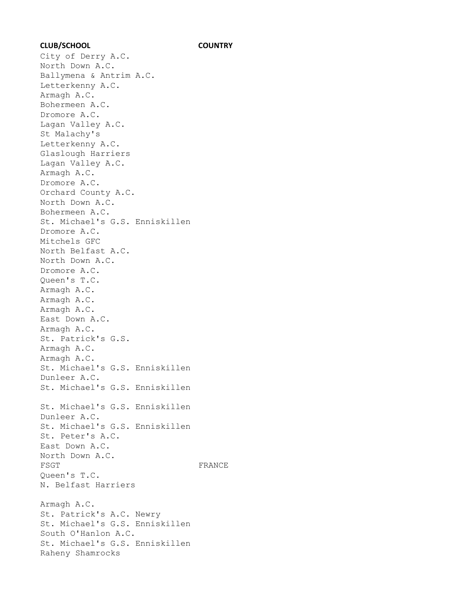## **CLUB/SCHOOL COUNTRY**

City of Derry A.C. North Down A.C. Ballymena & Antrim A.C. Letterkenny A.C. Armagh A.C. Bohermeen A.C. Dromore A.C. Lagan Valley A.C. St Malachy's Letterkenny A.C. Glaslough Harriers Lagan Valley A.C. Armagh A.C. Dromore A.C. Orchard County A.C. North Down A.C. Bohermeen A.C. St. Michael's G.S. Enniskillen Dromore A.C. Mitchels GFC North Belfast A.C. North Down A.C. Dromore A.C. Queen's T.C. Armagh A.C. Armagh A.C. Armagh A.C. East Down A.C. Armagh A.C. St. Patrick's G.S. Armagh A.C. Armagh A.C. St. Michael's G.S. Enniskillen Dunleer A.C. St. Michael's G.S. Enniskillen St. Michael's G.S. Enniskillen Dunleer A.C. St. Michael's G.S. Enniskillen St. Peter's A.C. East Down A.C. North Down A.C. FSGT FRANCE Queen's T.C. N. Belfast Harriers Armagh A.C. St. Patrick's A.C. Newry St. Michael's G.S. Enniskillen South O'Hanlon A.C. St. Michael's G.S. Enniskillen Raheny Shamrocks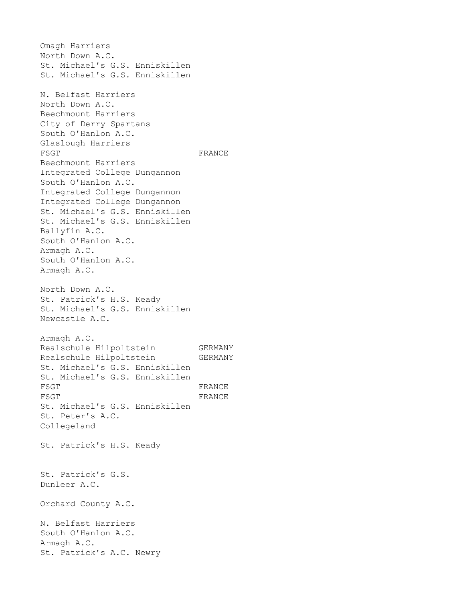Omagh Harriers North Down A.C. St. Michael's G.S. Enniskillen St. Michael's G.S. Enniskillen N. Belfast Harriers North Down A.C. Beechmount Harriers City of Derry Spartans South O'Hanlon A.C. Glaslough Harriers FSGT FRANCE Beechmount Harriers Integrated College Dungannon South O'Hanlon A.C. Integrated College Dungannon Integrated College Dungannon St. Michael's G.S. Enniskillen St. Michael's G.S. Enniskillen Ballyfin A.C. South O'Hanlon A.C. Armagh A.C. South O'Hanlon A.C. Armagh A.C. North Down A.C. St. Patrick's H.S. Keady St. Michael's G.S. Enniskillen Newcastle A.C. Armagh A.C. Realschule Hilpoltstein GERMANY Realschule Hilpoltstein GERMANY St. Michael's G.S. Enniskillen St. Michael's G.S. Enniskillen FSGT FRANCE FSGT FRANCE St. Michael's G.S. Enniskillen St. Peter's A.C. Collegeland St. Patrick's H.S. Keady St. Patrick's G.S. Dunleer A.C. Orchard County A.C. N. Belfast Harriers South O'Hanlon A.C. Armagh A.C. St. Patrick's A.C. Newry